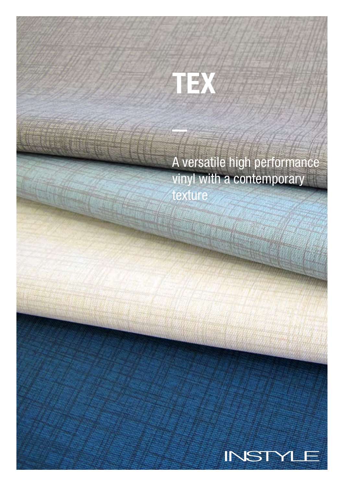# TEX

A versatile high performance vinyl with a contemporary texture

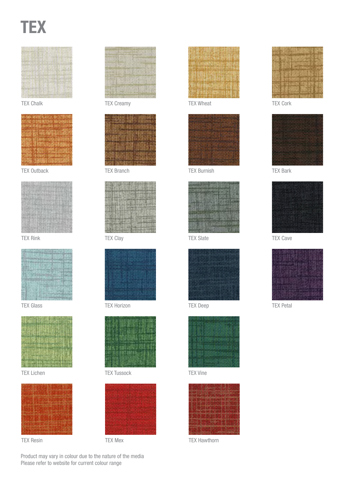## **TEX**





TEX Outback



TEX Rink



TEX Glass



TEX Lichen



TEX Resin



TEX Chalk TEX Creamy



TEX Branch



TEX Clay



TEX Horizon



TEX Tussock TEX Vine





#### TEX Wheat



TEX Burnish



TEX Slate



TEX Deep





TEX Mex TEX Hawthorn







TEX Bark



TEX Cave



TEX Petal

Product may vary in colour due to the nature of the media Please refer to website for current colour range